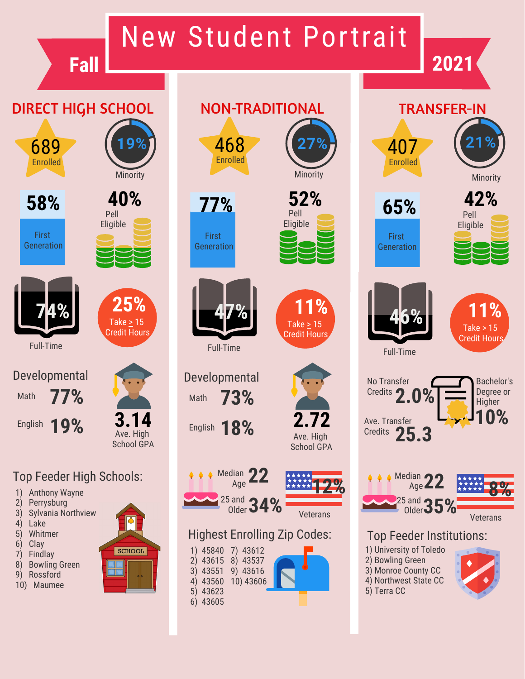# New Student Portrait

**Fall 2021**

## DIRECT HIGH SCHOOL



First **Generation** 

Pell Eligible

**Minority** 



Developmental Math **77%**

Ave. High School GPA **3.14**

## Top Feeder High Schools:

1) Anthony Wayne

English **19%**

Full-Time

- 2) Perrysburg
- 3) Sylvania Northview
- 4) Lake
- 5) Whitmer
- 6) Clay
- 7) Findlay
- 8) Bowling Green
- 9) Rossford
- 10) Maumee



| NON-TRADITION. |  |   |  |
|----------------|--|---|--|
|                |  |   |  |
|                |  | 6 |  |
| 1 C O          |  |   |  |



First Generation



Developmental Math **73%**

English **18%**



Highest Enrolling Zip Codes:

Veterans

Ave. High School GPA

**2.72**

 $Take \geq 15$ Credit Hours

|          | 1) 45840 7) 43612 |  |
|----------|-------------------|--|
| 2) 43615 | 8) 43537          |  |
| 3) 43551 | 9) 43616          |  |
| 4) 43560 | 10) 43606         |  |
| 5) 43623 |                   |  |
| 6) 43605 |                   |  |







407 Enrolled







Full-Time





## Top Feeder Institutions:

- 1) University of Toledo
- 2) Bowling Green
- 3) Monroe County CC 4) Northwest State CC
- 5) Terra CC